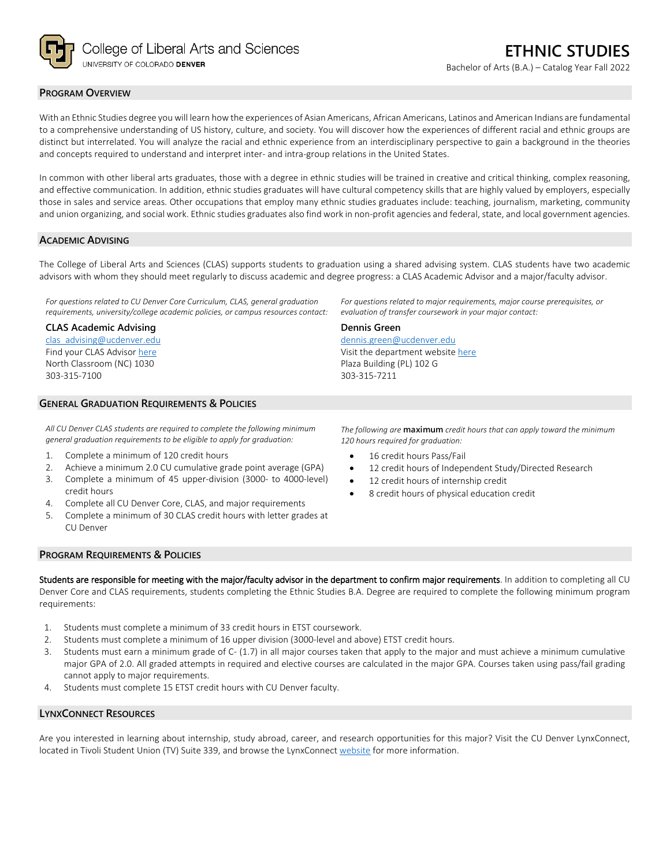

## **PROGRAM OVERVIEW**

With an Ethnic Studies degree you will learn how the experiences of Asian Americans, African Americans, Latinos and American Indians are fundamental to a comprehensive understanding of US history, culture, and society. You will discover how the experiences of different racial and ethnic groups are distinct but interrelated. You will analyze the racial and ethnic experience from an interdisciplinary perspective to gain a background in the theories and concepts required to understand and interpret inter- and intra-group relations in the United States.

In common with other liberal arts graduates, those with a degree in ethnic studies will be trained in creative and critical thinking, complex reasoning, and effective communication. In addition, ethnic studies graduates will have cultural competency skills that are highly valued by employers, especially those in sales and service areas. Other occupations that employ many ethnic studies graduates include: teaching, journalism, marketing, community and union organizing, and social work. Ethnic studies graduates also find work in non-profit agencies and federal, state, and local government agencies.

### **ACADEMIC ADVISING**

The College of Liberal Arts and Sciences (CLAS) supports students to graduation using a shared advising system. CLAS students have two academic advisors with whom they should meet regularly to discuss academic and degree progress: a CLAS Academic Advisor and a major/faculty advisor.

**Dennis Green**

303-315-7211

[dennis.green@ucdenver.edu](mailto:dennis.green@ucdenver.edu) Visit the department websit[e here](https://clas.ucdenver.edu/ethnic-studies/)

Plaza Building (PL) 102 G

*For questions related to CU Denver Core Curriculum, CLAS, general graduation requirements, university/college academic policies, or campus resources contact:*

#### **CLAS Academic Advising**

[clas\\_advising@ucdenver.edu](mailto:clas_advising@ucdenver.edu) Find your CLAS Adviso[r here](https://clas.ucdenver.edu/advising/) North Classroom (NC) 1030 303-315-7100

# **GENERAL GRADUATION REQUIREMENTS & POLICIES**

*All CU Denver CLAS students are required to complete the following minimum general graduation requirements to be eligible to apply for graduation:*

- 1. Complete a minimum of 120 credit hours
- 2. Achieve a minimum 2.0 CU cumulative grade point average (GPA)
- 3. Complete a minimum of 45 upper-division (3000- to 4000-level) credit hours
- 4. Complete all CU Denver Core, CLAS, and major requirements
- 5. Complete a minimum of 30 CLAS credit hours with letter grades at CU Denver

*For questions related to major requirements, major course prerequisites, or* 

*evaluation of transfer coursework in your major contact:*

*The following are* **maximum** *credit hours that can apply toward the minimum 120 hours required for graduation:*

- 16 credit hours Pass/Fail
- 12 credit hours of Independent Study/Directed Research
- 12 credit hours of internship credit
- 8 credit hours of physical education credit

### **PROGRAM REQUIREMENTS & POLICIES**

Students are responsible for meeting with the major/faculty advisor in the department to confirm major requirements. In addition to completing all CU Denver Core and CLAS requirements, students completing the Ethnic Studies B.A. Degree are required to complete the following minimum program requirements:

- 1. Students must complete a minimum of 33 credit hours in ETST coursework.
- 2. Students must complete a minimum of 16 upper division (3000-level and above) ETST credit hours.
- 3. Students must earn a minimum grade of C- (1.7) in all major courses taken that apply to the major and must achieve a minimum cumulative major GPA of 2.0. All graded attempts in required and elective courses are calculated in the major GPA. Courses taken using pass/fail grading cannot apply to major requirements.
- 4. Students must complete 15 ETST credit hours with CU Denver faculty.

### **LYNXCONNECT RESOURCES**

Are you interested in learning about internship, study abroad, career, and research opportunities for this major? Visit the CU Denver LynxConnect, located in Tivoli Student Union (TV) Suite 339, and browse the LynxConnec[t website](http://www.ucdenver.edu/lynxconnect/Pages/default.aspx) for more information.